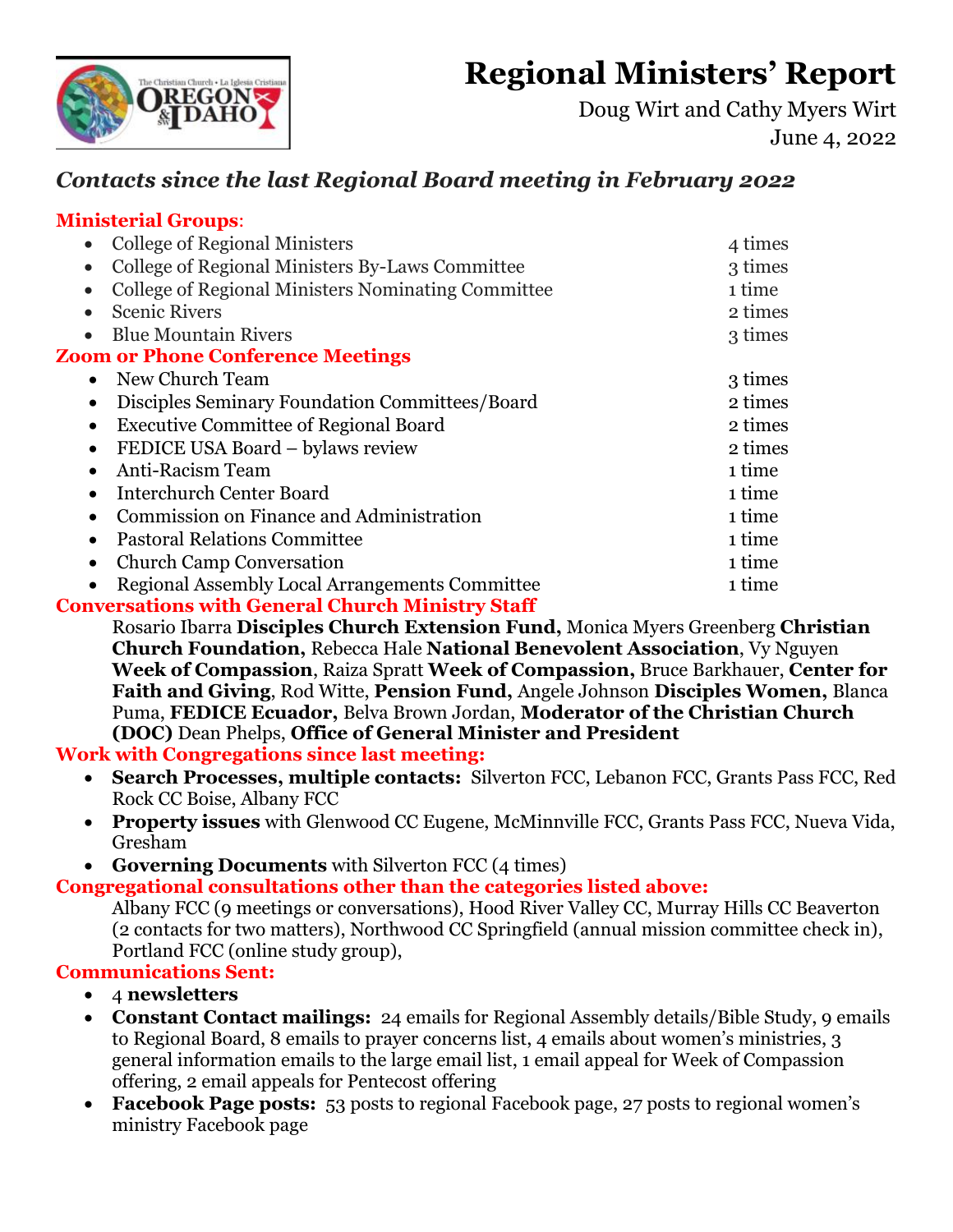# **Regional Ministers' Report**



Doug Wirt and Cathy Myers Wirt June 4, 2022

## *Contacts since the last Regional Board meeting in February 2022*

#### **Ministerial Groups**:

| <b>College of Regional Ministers</b><br>$\bullet$               | 4 times |
|-----------------------------------------------------------------|---------|
| College of Regional Ministers By-Laws Committee<br>$\bullet$    | 3 times |
| College of Regional Ministers Nominating Committee<br>$\bullet$ | 1 time  |
| <b>Scenic Rivers</b><br>$\bullet$                               | 2 times |
| <b>Blue Mountain Rivers</b><br>$\bullet$                        | 3 times |
| <b>Zoom or Phone Conference Meetings</b>                        |         |
| New Church Team<br>$\bullet$                                    | 3 times |
| Disciples Seminary Foundation Committees/Board<br>$\bullet$     | 2 times |
| <b>Executive Committee of Regional Board</b>                    | 2 times |
| FEDICE USA Board - bylaws review<br>$\bullet$                   | 2 times |
| Anti-Racism Team                                                | 1 time  |
| <b>Interchurch Center Board</b>                                 | 1 time  |
| Commission on Finance and Administration                        | 1 time  |
| <b>Pastoral Relations Committee</b>                             | 1 time  |
| <b>Church Camp Conversation</b>                                 | 1 time  |
| <b>Regional Assembly Local Arrangements Committee</b>           | 1 time  |
| <b>Conversations with General Church Ministry Staff</b>         |         |

Rosario Ibarra **Disciples Church Extension Fund,** Monica Myers Greenberg **Christian Church Foundation,** Rebecca Hale **National Benevolent Association**, Vy Nguyen **Week of Compassion**, Raiza Spratt **Week of Compassion,** Bruce Barkhauer, **Center for Faith and Giving**, Rod Witte, **Pension Fund,** Angele Johnson **Disciples Women,** Blanca Puma, **FEDICE Ecuador,** Belva Brown Jordan, **Moderator of the Christian Church (DOC)** Dean Phelps, **Office of General Minister and President**

**Work with Congregations since last meeting:**

- **Search Processes, multiple contacts:** Silverton FCC, Lebanon FCC, Grants Pass FCC, Red Rock CC Boise, Albany FCC
- **Property issues** with Glenwood CC Eugene, McMinnville FCC, Grants Pass FCC, Nueva Vida, Gresham
- **Governing Documents** with Silverton FCC (4 times)

**Congregational consultations other than the categories listed above:**

Albany FCC (9 meetings or conversations), Hood River Valley CC, Murray Hills CC Beaverton (2 contacts for two matters), Northwood CC Springfield (annual mission committee check in), Portland FCC (online study group),

#### **Communications Sent:**

- 4 **newsletters**
- **Constant Contact mailings:** 24 emails for Regional Assembly details/Bible Study, 9 emails to Regional Board, 8 emails to prayer concerns list, 4 emails about women's ministries, 3 general information emails to the large email list, 1 email appeal for Week of Compassion offering, 2 email appeals for Pentecost offering
- **Facebook Page posts:** 53 posts to regional Facebook page, 27 posts to regional women's ministry Facebook page